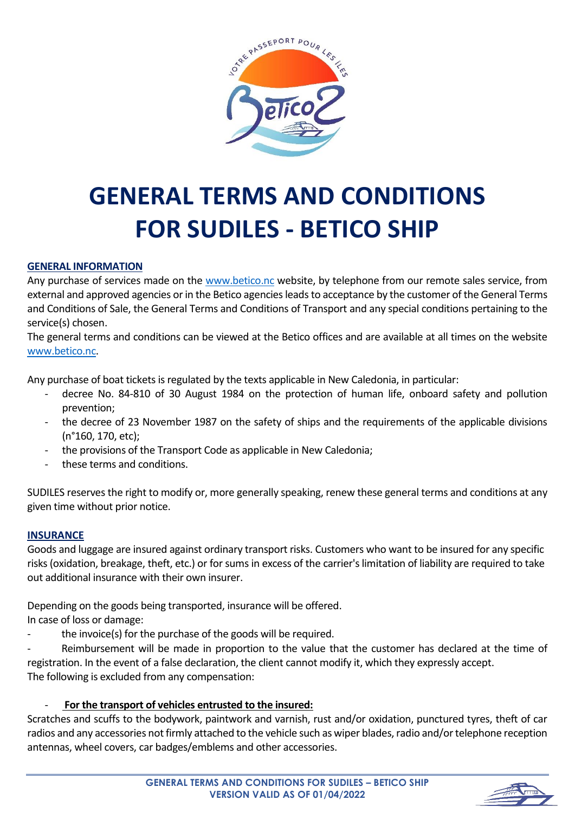

# **GENERAL TERMS AND CONDITIONS FOR SUDILES - BETICO SHIP**

# **GENERAL INFORMATION**

Any purchase of services made on the [www.betico.nc](http://www.betico.nc/) website, by telephone from our remote sales service, from external and approved agencies or in the Betico agencies leads to acceptance by the customer of the General Terms and Conditions of Sale, the General Terms and Conditions of Transport and any special conditions pertaining to the service(s) chosen.

The general terms and conditions can be viewed at the Betico offices and are available at all times on the website [www.betico.nc.](http://www.betico.nc/)

Any purchase of boat tickets is regulated by the texts applicable in New Caledonia, in particular:

- decree No. 84-810 of 30 August 1984 on the protection of human life, onboard safety and pollution prevention;
- the decree of 23 November 1987 on the safety of ships and the requirements of the applicable divisions (n°160, 170, etc);
- the provisions of the Transport Code as applicable in New Caledonia;
- these terms and conditions.

SUDILES reserves the right to modify or, more generally speaking, renew these general terms and conditions at any given time without prior notice.

# **INSURANCE**

Goods and luggage are insured against ordinary transport risks. Customers who want to be insured for any specific risks (oxidation, breakage, theft, etc.) or for sums in excess of the carrier's limitation of liability are required to take out additional insurance with their own insurer.

Depending on the goods being transported, insurance will be offered.

In case of loss or damage:

the invoice(s) for the purchase of the goods will be required.

Reimbursement will be made in proportion to the value that the customer has declared at the time of registration. In the event of a false declaration, the client cannot modify it, which they expressly accept. The following is excluded from any compensation:

- **For the transport of vehicles entrusted to the insured:**

Scratches and scuffs to the bodywork, paintwork and varnish, rust and/or oxidation, punctured tyres, theft of car radios and any accessories not firmly attached to the vehicle such as wiper blades, radio and/or telephone reception antennas, wheel covers, car badges/emblems and other accessories.

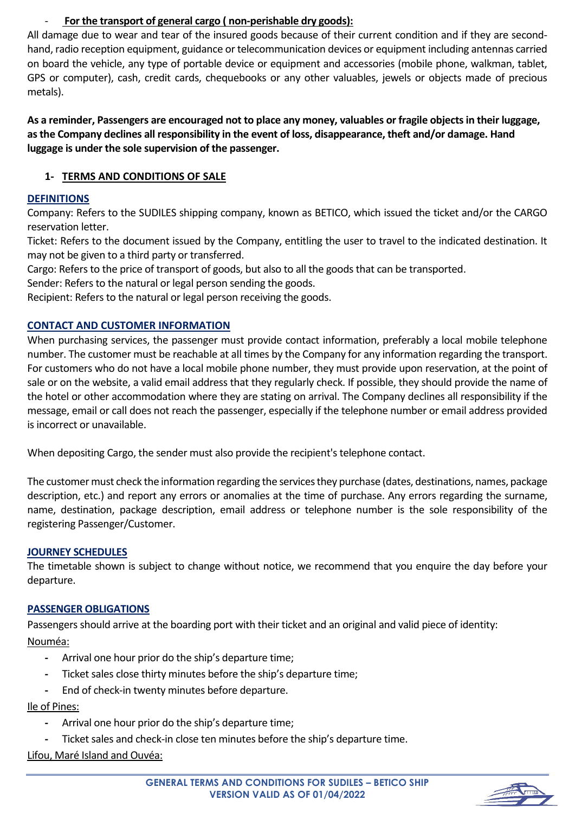# - **For the transport of general cargo ( non-perishable dry goods):**

All damage due to wear and tear of the insured goods because of their current condition and if they are secondhand, radio reception equipment, guidance or telecommunication devices or equipment including antennas carried on board the vehicle, any type of portable device or equipment and accessories (mobile phone, walkman, tablet, GPS or computer), cash, credit cards, chequebooks or any other valuables, jewels or objects made of precious metals).

**As a reminder, Passengers are encouraged not to place any money, valuables or fragile objects in their luggage, as the Company declines all responsibility in the event of loss, disappearance, theft and/or damage. Hand luggage is under the sole supervision of the passenger.**

# **1- TERMS AND CONDITIONS OF SALE**

# **DEFINITIONS**

Company: Refers to the SUDILES shipping company, known as BETICO, which issued the ticket and/or the CARGO reservation letter.

Ticket: Refers to the document issued by the Company, entitling the user to travel to the indicated destination. It may not be given to a third party or transferred.

Cargo: Refers to the price of transport of goods, but also to all the goods that can be transported.

Sender: Refers to the natural or legal person sending the goods.

Recipient: Refers to the natural or legal person receiving the goods.

# **CONTACT AND CUSTOMER INFORMATION**

When purchasing services, the passenger must provide contact information, preferably a local mobile telephone number. The customer must be reachable at all times by the Company for any information regarding the transport. For customers who do not have a local mobile phone number, they must provide upon reservation, at the point of sale or on the website, a valid email address that they regularly check. If possible, they should provide the name of the hotel or other accommodation where they are stating on arrival. The Company declines all responsibility if the message, email or call does not reach the passenger, especially if the telephone number or email address provided is incorrect or unavailable.

When depositing Cargo, the sender must also provide the recipient's telephone contact.

The customer must check the information regarding the services they purchase (dates, destinations, names, package description, etc.) and report any errors or anomalies at the time of purchase. Any errors regarding the surname, name, destination, package description, email address or telephone number is the sole responsibility of the registering Passenger/Customer.

# **JOURNEY SCHEDULES**

The timetable shown is subject to change without notice, we recommend that you enquire the day before your departure.

# **PASSENGER OBLIGATIONS**

Passengers should arrive at the boarding port with their ticket and an original and valid piece of identity: Nouméa:

- **-** Arrival one hour prior do the ship's departure time;
- **-** Ticket sales close thirty minutes before the ship's departure time;
- **-** End of check-in twenty minutes before departure.

# Ile of Pines:

- **-** Arrival one hour prior do the ship's departure time;
- **-** Ticket sales and check-in close ten minutes before the ship's departure time.

Lifou, Maré Island and Ouvéa:

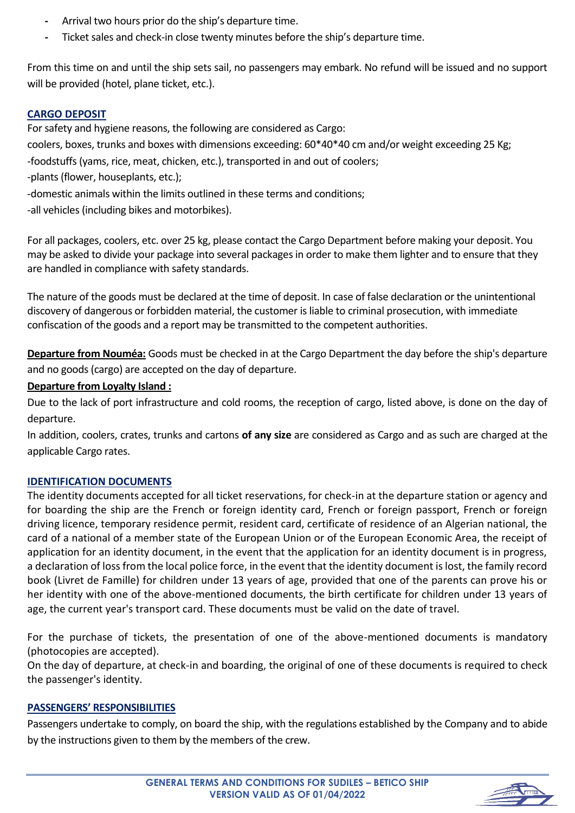- **-** Arrival two hours prior do the ship's departure time.
- **-** Ticket sales and check-in close twenty minutes before the ship's departure time.

From this time on and until the ship sets sail, no passengers may embark. No refund will be issued and no support will be provided (hotel, plane ticket, etc.).

# **CARGO DEPOSIT**

For safety and hygiene reasons, the following are considered as Cargo:

coolers, boxes, trunks and boxes with dimensions exceeding: 60\*40\*40 cm and/or weight exceeding 25 Kg;

-foodstuffs (yams, rice, meat, chicken, etc.), transported in and out of coolers;

-plants (flower, houseplants, etc.);

-domestic animals within the limits outlined in these terms and conditions;

-all vehicles (including bikes and motorbikes).

For all packages, coolers, etc. over 25 kg, please contact the Cargo Department before making your deposit. You may be asked to divide your package into several packages in order to make them lighter and to ensure that they are handled in compliance with safety standards.

The nature of the goods must be declared at the time of deposit. In case of false declaration or the unintentional discovery of dangerous or forbidden material, the customer is liable to criminal prosecution, with immediate confiscation of the goods and a report may be transmitted to the competent authorities.

**Departure from Nouméa:** Goods must be checked in at the Cargo Department the day before the ship's departure and no goods (cargo) are accepted on the day of departure.

# **Departure from Loyalty Island :**

Due to the lack of port infrastructure and cold rooms, the reception of cargo, listed above, is done on the day of departure.

In addition, coolers, crates, trunks and cartons **of any size** are considered as Cargo and as such are charged at the applicable Cargo rates.

# **IDENTIFICATION DOCUMENTS**

The identity documents accepted for all ticket reservations, for check-in at the departure station or agency and for boarding the ship are the French or foreign identity card, French or foreign passport, French or foreign driving licence, temporary residence permit, resident card, certificate of residence of an Algerian national, the card of a national of a member state of the European Union or of the European Economic Area, the receipt of application for an identity document, in the event that the application for an identity document is in progress, a declaration of loss from the local police force, in the event that the identity document is lost, the family record book (Livret de Famille) for children under 13 years of age, provided that one of the parents can prove his or her identity with one of the above-mentioned documents, the birth certificate for children under 13 years of age, the current year's transport card. These documents must be valid on the date of travel.

For the purchase of tickets, the presentation of one of the above-mentioned documents is mandatory (photocopies are accepted).

On the day of departure, at check-in and boarding, the original of one of these documents is required to check the passenger's identity.

# **PASSENGERS' RESPONSIBILITIES**

Passengers undertake to comply, on board the ship, with the regulations established by the Company and to abide by the instructions given to them by the members of the crew.

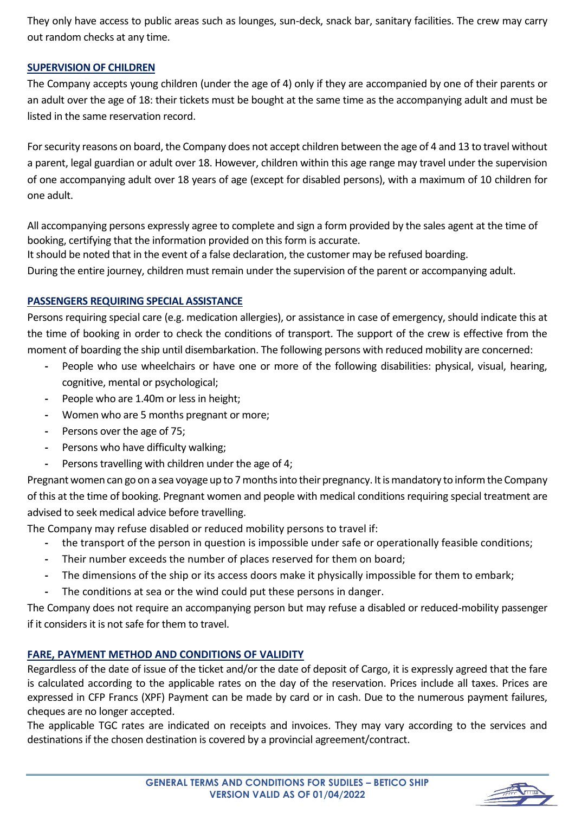They only have access to public areas such as lounges, sun-deck, snack bar, sanitary facilities. The crew may carry out random checks at any time.

# **SUPERVISION OF CHILDREN**

The Company accepts young children (under the age of 4) only if they are accompanied by one of their parents or an adult over the age of 18: their tickets must be bought at the same time as the accompanying adult and must be listed in the same reservation record.

For security reasons on board, the Company does not accept children between the age of 4 and 13 to travel without a parent, legal guardian or adult over 18. However, children within this age range may travel under the supervision of one accompanying adult over 18 years of age (except for disabled persons), with a maximum of 10 children for one adult.

All accompanying persons expressly agree to complete and sign a form provided by the sales agent at the time of booking, certifying that the information provided on this form is accurate.

It should be noted that in the event of a false declaration, the customer may be refused boarding.

During the entire journey, children must remain under the supervision of the parent or accompanying adult.

# **PASSENGERS REQUIRING SPECIAL ASSISTANCE**

Persons requiring special care (e.g. medication allergies), or assistance in case of emergency, should indicate this at the time of booking in order to check the conditions of transport. The support of the crew is effective from the moment of boarding the ship until disembarkation. The following persons with reduced mobility are concerned:

- **-** People who use wheelchairs or have one or more of the following disabilities: physical, visual, hearing, cognitive, mental or psychological;
- **-** People who are 1.40m or less in height;
- **-** Women who are 5 months pregnant or more;
- **-** Persons over the age of 75;
- **-** Persons who have difficulty walking;
- **-** Persons travelling with children under the age of 4;

Pregnant women can go on a sea voyage up to 7 months into their pregnancy. It is mandatory to inform the Company of this at the time of booking. Pregnant women and people with medical conditions requiring special treatment are advised to seek medical advice before travelling.

The Company may refuse disabled or reduced mobility persons to travel if:

- **-** the transport of the person in question is impossible under safe or operationally feasible conditions;
- **-** Their number exceeds the number of places reserved for them on board;
- **-** The dimensions of the ship or its access doors make it physically impossible for them to embark;
- **-** The conditions at sea or the wind could put these persons in danger.

The Company does not require an accompanying person but may refuse a disabled or reduced-mobility passenger if it considers it is not safe for them to travel.

# **FARE, PAYMENT METHOD AND CONDITIONS OF VALIDITY**

Regardless of the date of issue of the ticket and/or the date of deposit of Cargo, it is expressly agreed that the fare is calculated according to the applicable rates on the day of the reservation. Prices include all taxes. Prices are expressed in CFP Francs (XPF) Payment can be made by card or in cash. Due to the numerous payment failures, cheques are no longer accepted.

The applicable TGC rates are indicated on receipts and invoices. They may vary according to the services and destinations if the chosen destination is covered by a provincial agreement/contract.

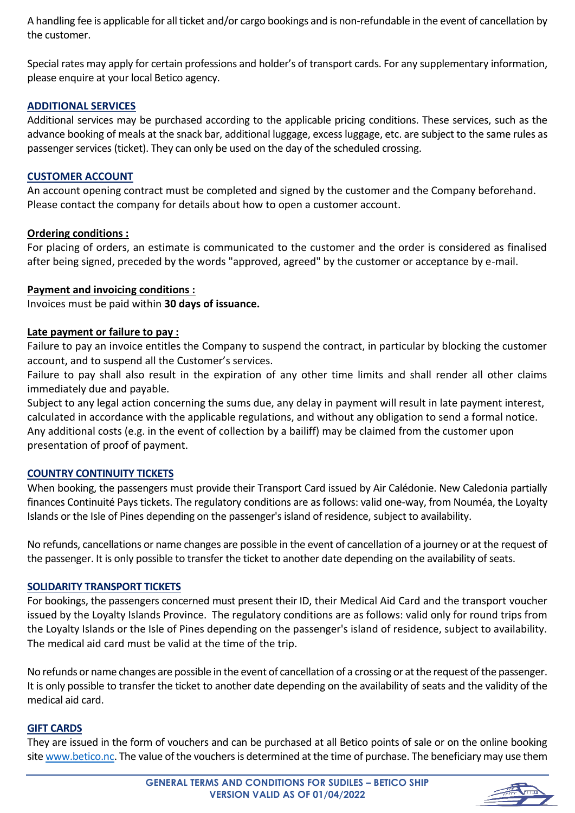A handling fee is applicable for all ticket and/or cargo bookings and is non-refundable in the event of cancellation by the customer.

Special rates may apply for certain professions and holder's of transport cards. For any supplementary information, please enquire at your local Betico agency.

## **ADDITIONAL SERVICES**

Additional services may be purchased according to the applicable pricing conditions. These services, such as the advance booking of meals at the snack bar, additional luggage, excess luggage, etc. are subject to the same rules as passenger services (ticket). They can only be used on the day of the scheduled crossing.

#### **CUSTOMER ACCOUNT**

An account opening contract must be completed and signed by the customer and the Company beforehand. Please contact the company for details about how to open a customer account.

#### **Ordering conditions :**

For placing of orders, an estimate is communicated to the customer and the order is considered as finalised after being signed, preceded by the words "approved, agreed" by the customer or acceptance by e-mail.

#### **Payment and invoicing conditions :**

Invoices must be paid within **30 days of issuance.**

#### **Late payment or failure to pay :**

Failure to pay an invoice entitles the Company to suspend the contract, in particular by blocking the customer account, and to suspend all the Customer's services.

Failure to pay shall also result in the expiration of any other time limits and shall render all other claims immediately due and payable.

Subject to any legal action concerning the sums due, any delay in payment will result in late payment interest, calculated in accordance with the applicable regulations, and without any obligation to send a formal notice. Any additional costs (e.g. in the event of collection by a bailiff) may be claimed from the customer upon presentation of proof of payment.

#### **COUNTRY CONTINUITY TICKETS**

When booking, the passengers must provide their Transport Card issued by Air Calédonie. New Caledonia partially finances Continuité Pays tickets. The regulatory conditions are as follows: valid one-way, from Nouméa, the Loyalty Islands or the Isle of Pines depending on the passenger's island of residence, subject to availability.

No refunds, cancellations or name changes are possible in the event of cancellation of a journey or at the request of the passenger. It is only possible to transfer the ticket to another date depending on the availability of seats.

#### **SOLIDARITY TRANSPORT TICKETS**

For bookings, the passengers concerned must present their ID, their Medical Aid Card and the transport voucher issued by the Loyalty Islands Province. The regulatory conditions are as follows: valid only for round trips from the Loyalty Islands or the Isle of Pines depending on the passenger's island of residence, subject to availability. The medical aid card must be valid at the time of the trip.

No refunds or name changes are possible in the event of cancellation of a crossing or at the request of the passenger. It is only possible to transfer the ticket to another date depending on the availability of seats and the validity of the medical aid card.

#### **GIFT CARDS**

They are issued in the form of vouchers and can be purchased at all Betico points of sale or on the online booking sit[e www.betico.nc.](http://www.betico.nc/) The value of the vouchers is determined at the time of purchase. The beneficiary may use them

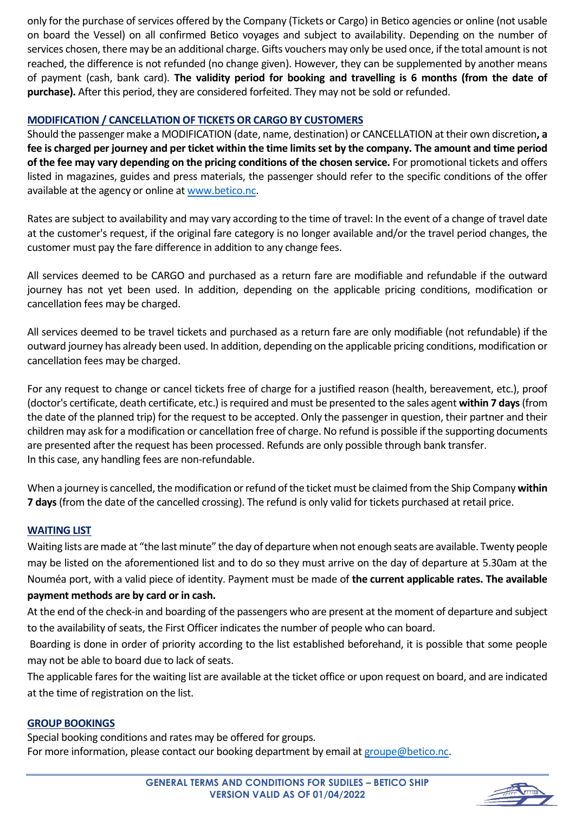only for the purchase of services offered by the Company (Tickets or Cargo) in Betico agencies or online (not usable on board the Vessel) on all confirmed Betico voyages and subject to availability. Depending on the number of services chosen, there may be an additional charge. Gifts vouchers may only be used once, if the total amount is not reached, the difference is not refunded (no change given). However, they can be supplemented by another means of payment (cash, bank card). **The validity period for booking and travelling is 6 months (from the date of purchase).** After this period, they are considered forfeited. They may not be sold or refunded.

# **MODIFICATION / CANCELLATION OF TICKETS OR CARGO BY CUSTOMERS**

Should the passenger make a MODIFICATION (date, name, destination) or CANCELLATION at their own discretion**, a fee is charged per journey and per ticket within the time limits set by the company. The amount and time period of the fee may vary depending on the pricing conditions of the chosen service.** For promotional tickets and offers listed in magazines, guides and press materials, the passenger should refer to the specific conditions of the offer available at the agency or online at [www.betico.nc.](http://www.betico.nc/)

Rates are subject to availability and may vary according to the time of travel: In the event of a change of travel date at the customer's request, if the original fare category is no longer available and/or the travel period changes, the customer must pay the fare difference in addition to any change fees.

All services deemed to be CARGO and purchased as a return fare are modifiable and refundable if the outward journey has not yet been used. In addition, depending on the applicable pricing conditions, modification or cancellation fees may be charged.

All services deemed to be travel tickets and purchased as a return fare are only modifiable (not refundable) if the outward journey has already been used. In addition, depending on the applicable pricing conditions, modification or cancellation fees may be charged.

For any request to change or cancel tickets free of charge for a justified reason (health, bereavement, etc.), proof (doctor's certificate, death certificate, etc.) is required and must be presented to the sales agent **within 7 days** (from the date of the planned trip) for the request to be accepted. Only the passenger in question, their partner and their children may ask for a modification or cancellation free of charge. No refund is possible if the supporting documents are presented after the request has been processed. Refunds are only possible through bank transfer. In this case, any handling fees are non-refundable.

When a journey is cancelled, the modification or refund of the ticket must be claimed from the Ship Company **within 7 days** (from the date of the cancelled crossing). The refund is only valid for tickets purchased at retail price.

# **WAITING LIST**

Waiting lists are made at "the last minute" the day of departure when not enough seats are available. Twenty people may be listed on the aforementioned list and to do so they must arrive on the day of departure at 5.30am at the Nouméa port, with a valid piece of identity. Payment must be made of **the current applicable rates. The available payment methods are by card or in cash.**

At the end of the check-in and boarding of the passengers who are present at the moment of departure and subject to the availability of seats, the First Officer indicates the number of people who can board.

Boarding is done in order of priority according to the list established beforehand, it is possible that some people may not be able to board due to lack of seats.

The applicable fares for the waiting list are available at the ticket office or upon request on board, and are indicated at the time of registration on the list.

#### **GROUP BOOKINGS**

Special booking conditions and rates may be offered for groups. For more information, please contact our booking department by email a[t groupe@betico.nc.](mailto:groupe@betico.nc)

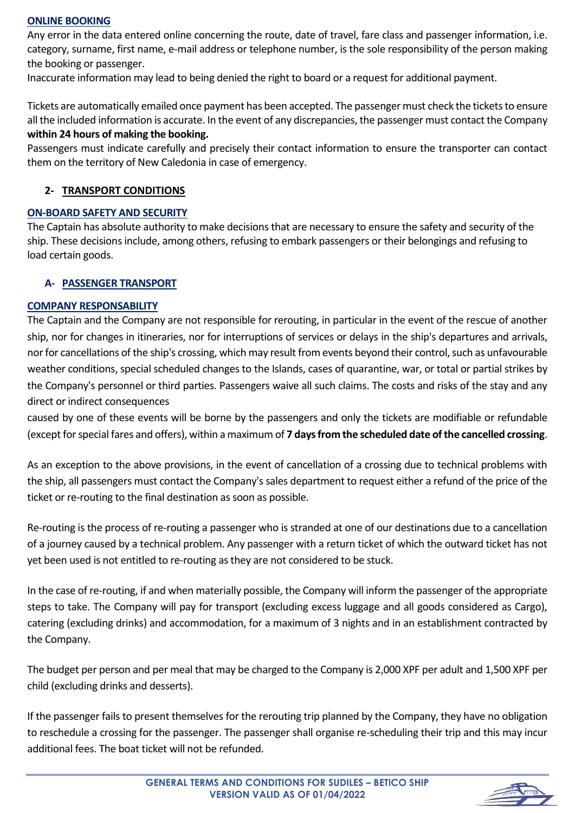### **ONLINE BOOKING**

Any error in the data entered online concerning the route, date of travel, fare class and passenger information, i.e. category, surname, first name, e-mail address or telephone number, is the sole responsibility of the person making the booking or passenger.

Inaccurate information may lead to being denied the right to board or a request for additional payment.

Tickets are automatically emailed once payment has been accepted. The passenger must check the tickets to ensure all the included information is accurate. In the event of any discrepancies, the passenger must contact the Company **within 24 hours of making the booking.**

Passengers must indicate carefully and precisely their contact information to ensure the transporter can contact them on the territory of New Caledonia in case of emergency.

# **2- TRANSPORT CONDITIONS**

# **ON-BOARD SAFETY AND SECURITY**

The Captain has absolute authority to make decisions that are necessary to ensure the safety and security of the ship. These decisions include, among others, refusing to embark passengers or their belongings and refusing to load certain goods.

### **A- PASSENGER TRANSPORT**

### **COMPANY RESPONSABILITY**

The Captain and the Company are not responsible for rerouting, in particular in the event of the rescue of another ship, nor for changes in itineraries, nor for interruptions of services or delays in the ship's departures and arrivals, nor for cancellations of the ship's crossing, which may result from events beyond their control, such as unfavourable weather conditions, special scheduled changes to the Islands, cases of quarantine, war, or total or partial strikes by the Company's personnel or third parties. Passengers waive all such claims. The costs and risks of the stay and any direct or indirect consequences

caused by one of these events will be borne by the passengers and only the tickets are modifiable or refundable (except for special fares and offers), within a maximum of **7 days from the scheduled date of the cancelled crossing**.

As an exception to the above provisions, in the event of cancellation of a crossing due to technical problems with the ship, all passengers must contact the Company's sales department to request either a refund of the price of the ticket or re-routing to the final destination as soon as possible.

Re-routing is the process of re-routing a passenger who is stranded at one of our destinations due to a cancellation of a journey caused by a technical problem. Any passenger with a return ticket of which the outward ticket has not yet been used is not entitled to re-routing as they are not considered to be stuck.

In the case of re-routing, if and when materially possible, the Company will inform the passenger of the appropriate steps to take. The Company will pay for transport (excluding excess luggage and all goods considered as Cargo), catering (excluding drinks) and accommodation, for a maximum of 3 nights and in an establishment contracted by the Company.

The budget per person and per meal that may be charged to the Company is 2,000 XPF per adult and 1,500 XPF per child (excluding drinks and desserts).

If the passenger fails to present themselves for the rerouting trip planned by the Company, they have no obligation to reschedule a crossing for the passenger. The passenger shall organise re-scheduling their trip and this may incur additional fees. The boat ticket will not be refunded.

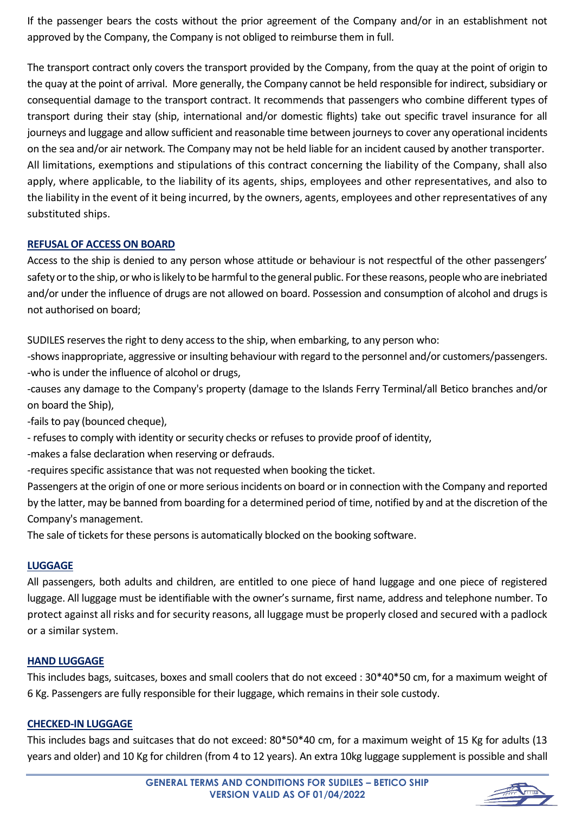If the passenger bears the costs without the prior agreement of the Company and/or in an establishment not approved by the Company, the Company is not obliged to reimburse them in full.

The transport contract only covers the transport provided by the Company, from the quay at the point of origin to the quay at the point of arrival. More generally, the Company cannot be held responsible for indirect, subsidiary or consequential damage to the transport contract. It recommends that passengers who combine different types of transport during their stay (ship, international and/or domestic flights) take out specific travel insurance for all journeys and luggage and allow sufficient and reasonable time between journeys to cover any operational incidents on the sea and/or air network. The Company may not be held liable for an incident caused by another transporter. All limitations, exemptions and stipulations of this contract concerning the liability of the Company, shall also apply, where applicable, to the liability of its agents, ships, employees and other representatives, and also to the liability in the event of it being incurred, by the owners, agents, employees and other representatives of any substituted ships.

# **REFUSAL OF ACCESS ON BOARD**

Access to the ship is denied to any person whose attitude or behaviour is not respectful of the other passengers' safety or to the ship, or who is likely to be harmful to the general public. For these reasons, people who are inebriated and/or under the influence of drugs are not allowed on board. Possession and consumption of alcohol and drugs is not authorised on board;

SUDILES reserves the right to deny access to the ship, when embarking, to any person who:

-shows inappropriate, aggressive or insulting behaviour with regard to the personnel and/or customers/passengers. -who is under the influence of alcohol or drugs,

-causes any damage to the Company's property (damage to the Islands Ferry Terminal/all Betico branches and/or on board the Ship),

-fails to pay (bounced cheque),

- refuses to comply with identity or security checks or refuses to provide proof of identity,

-makes a false declaration when reserving or defrauds.

-requires specific assistance that was not requested when booking the ticket.

Passengers at the origin of one or more serious incidents on board or in connection with the Company and reported by the latter, may be banned from boarding for a determined period of time, notified by and at the discretion of the Company's management.

The sale of tickets for these persons is automatically blocked on the booking software.

# **LUGGAGE**

All passengers, both adults and children, are entitled to one piece of hand luggage and one piece of registered luggage. All luggage must be identifiable with the owner's surname, first name, address and telephone number. To protect against all risks and for security reasons, all luggage must be properly closed and secured with a padlock or a similar system.

# **HAND LUGGAGE**

This includes bags, suitcases, boxes and small coolers that do not exceed : 30\*40\*50 cm, for a maximum weight of 6 Kg. Passengers are fully responsible for their luggage, which remains in their sole custody.

# **CHECKED-IN LUGGAGE**

This includes bags and suitcases that do not exceed: 80\*50\*40 cm, for a maximum weight of 15 Kg for adults (13 years and older) and 10 Kg for children (from 4 to 12 years). An extra 10kg luggage supplement is possible and shall

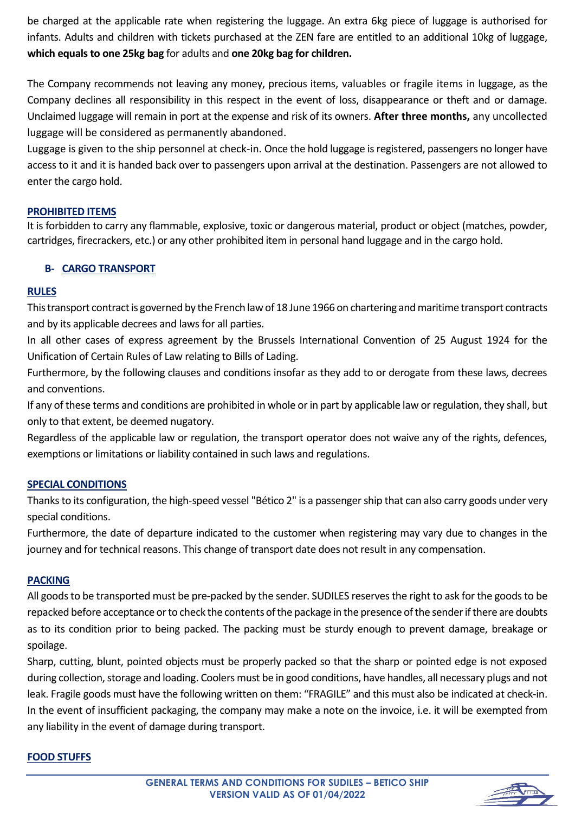be charged at the applicable rate when registering the luggage. An extra 6kg piece of luggage is authorised for infants. Adults and children with tickets purchased at the ZEN fare are entitled to an additional 10kg of luggage, **which equals to one 25kg bag** for adults and **one 20kg bag for children.**

The Company recommends not leaving any money, precious items, valuables or fragile items in luggage, as the Company declines all responsibility in this respect in the event of loss, disappearance or theft and or damage. Unclaimed luggage will remain in port at the expense and risk of its owners. **After three months,** any uncollected luggage will be considered as permanently abandoned.

Luggage is given to the ship personnel at check-in. Once the hold luggage is registered, passengers no longer have access to it and it is handed back over to passengers upon arrival at the destination. Passengers are not allowed to enter the cargo hold.

# **PROHIBITED ITEMS**

It is forbidden to carry any flammable, explosive, toxic or dangerous material, product or object (matches, powder, cartridges, firecrackers, etc.) or any other prohibited item in personal hand luggage and in the cargo hold.

### **B- CARGO TRANSPORT**

#### **RULES**

This transport contract is governed by the French law of 18 June 1966 on chartering and maritime transport contracts and by its applicable decrees and laws for all parties.

In all other cases of express agreement by the Brussels International Convention of 25 August 1924 for the Unification of Certain Rules of Law relating to Bills of Lading.

Furthermore, by the following clauses and conditions insofar as they add to or derogate from these laws, decrees and conventions.

If any of these terms and conditions are prohibited in whole or in part by applicable law or regulation, they shall, but only to that extent, be deemed nugatory.

Regardless of the applicable law or regulation, the transport operator does not waive any of the rights, defences, exemptions or limitations or liability contained in such laws and regulations.

#### **SPECIAL CONDITIONS**

Thanks to its configuration, the high-speed vessel "Bético 2" is a passenger ship that can also carry goods under very special conditions.

Furthermore, the date of departure indicated to the customer when registering may vary due to changes in the journey and for technical reasons. This change of transport date does not result in any compensation.

#### **PACKING**

All goods to be transported must be pre-packed by the sender. SUDILES reserves the right to ask for the goods to be repacked before acceptance or to check the contents of the package in the presence of the sender if there are doubts as to its condition prior to being packed. The packing must be sturdy enough to prevent damage, breakage or spoilage.

Sharp, cutting, blunt, pointed objects must be properly packed so that the sharp or pointed edge is not exposed during collection, storage and loading. Coolers must be in good conditions, have handles, all necessary plugs and not leak. Fragile goods must have the following written on them: "FRAGILE" and this must also be indicated at check-in. In the event of insufficient packaging, the company may make a note on the invoice, i.e. it will be exempted from any liability in the event of damage during transport.

#### **FOOD STUFFS**

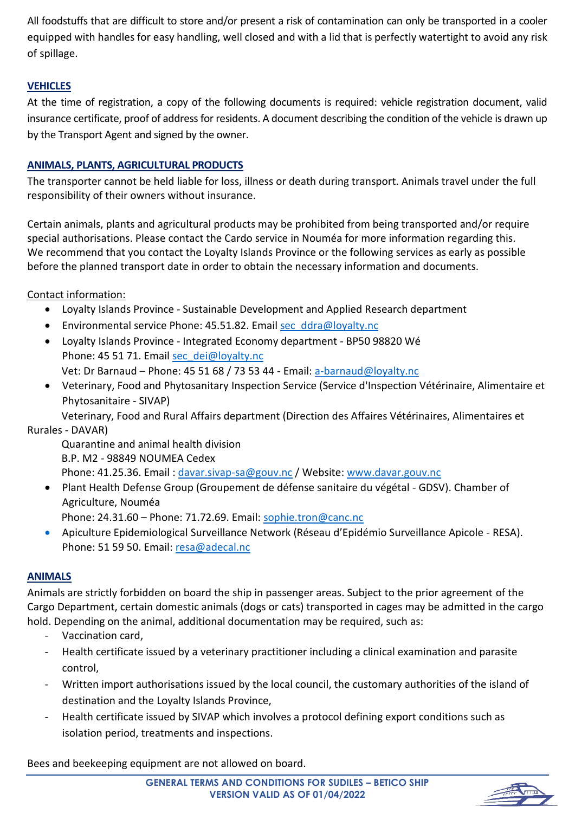All foodstuffs that are difficult to store and/or present a risk of contamination can only be transported in a cooler equipped with handles for easy handling, well closed and with a lid that is perfectly watertight to avoid any risk of spillage.

# **VEHICLES**

At the time of registration, a copy of the following documents is required: vehicle registration document, valid insurance certificate, proof of address for residents. A document describing the condition of the vehicle is drawn up by the Transport Agent and signed by the owner.

# **ANIMALS, PLANTS, AGRICULTURAL PRODUCTS**

The transporter cannot be held liable for loss, illness or death during transport. Animals travel under the full responsibility of their owners without insurance.

Certain animals, plants and agricultural products may be prohibited from being transported and/or require special authorisations. Please contact the Cardo service in Nouméa for more information regarding this. We recommend that you contact the Loyalty Islands Province or the following services as early as possible before the planned transport date in order to obtain the necessary information and documents.

Contact information:

- Loyalty Islands Province Sustainable Development and Applied Research department
- Environmental service Phone: 45.51.82. Email [sec\\_ddra@loyalty.nc](mailto:sec_ddra@loyalty.nc)
- Loyalty Islands Province Integrated Economy department BP50 98820 Wé Phone: 45 51 71. Email [sec\\_dei@loyalty.nc](mailto:sec_dei@loyalty.nc)
	- Vet: Dr Barnaud Phone: 45 51 68 / 73 53 44 Email: [a-barnaud@loyalty.nc](mailto:a-barnaud@loyalty.nc)
- Veterinary, Food and Phytosanitary Inspection Service (Service d'Inspection Vétérinaire, Alimentaire et Phytosanitaire - SIVAP)

Veterinary, Food and Rural Affairs department (Direction des Affaires Vétérinaires, Alimentaires et Rurales - DAVAR)

Quarantine and animal health division B.P. M2 - 98849 NOUMEA Cedex

Phone: 41.25.36. Email : [davar.sivap-sa@gouv.nc](mailto:davar.sivap-sa@gouv.nc) / Website: [www.davar.gouv.nc](http://www.davar.gouv.nc/)

• Plant Health Defense Group (Groupement de défense sanitaire du végétal - GDSV). Chamber of Agriculture, Nouméa

Phone: 24.31.60 - Phone: 71.72.69. Email[: sophie.tron@canc.nc](mailto:sophie.tron@canc.nc)

• Apiculture Epidemiological Surveillance Network (Réseau d'Epidémio Surveillance Apicole - RESA). Phone: 51 59 50. Email: [resa@adecal.nc](mailto:resa@adecal.nc)

# **ANIMALS**

Animals are strictly forbidden on board the ship in passenger areas. Subject to the prior agreement of the Cargo Department, certain domestic animals (dogs or cats) transported in cages may be admitted in the cargo hold. Depending on the animal, additional documentation may be required, such as:

- Vaccination card,
- Health certificate issued by a veterinary practitioner including a clinical examination and parasite control,
- Written import authorisations issued by the local council, the customary authorities of the island of destination and the Loyalty Islands Province,
- Health certificate issued by SIVAP which involves a protocol defining export conditions such as isolation period, treatments and inspections.

Bees and beekeeping equipment are not allowed on board.

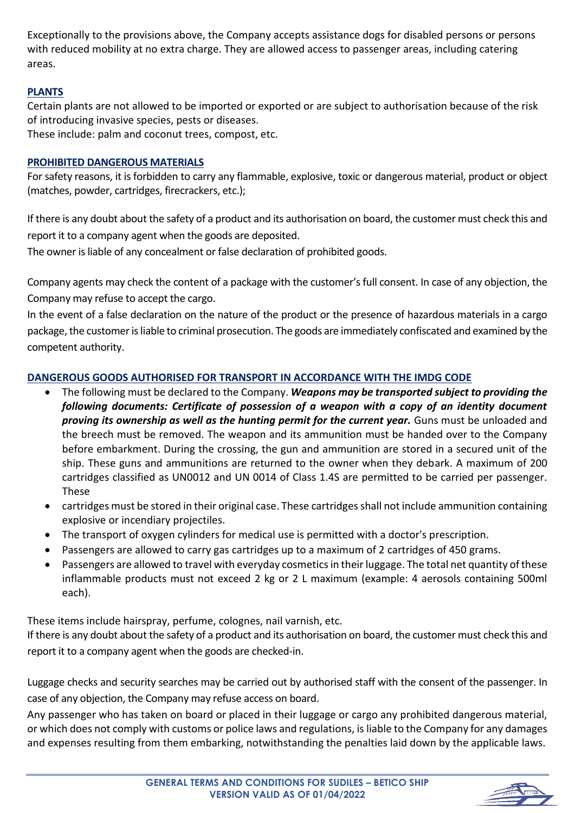Exceptionally to the provisions above, the Company accepts assistance dogs for disabled persons or persons with reduced mobility at no extra charge. They are allowed access to passenger areas, including catering areas.

# **PLANTS**

Certain plants are not allowed to be imported or exported or are subject to authorisation because of the risk of introducing invasive species, pests or diseases.

These include: palm and coconut trees, compost, etc.

# **PROHIBITED DANGEROUS MATERIALS**

For safety reasons, it is forbidden to carry any flammable, explosive, toxic or dangerous material, product or object (matches, powder, cartridges, firecrackers, etc.);

If there is any doubt about the safety of a product and its authorisation on board, the customer must check this and report it to a company agent when the goods are deposited.

The owner is liable of any concealment or false declaration of prohibited goods.

Company agents may check the content of a package with the customer's full consent. In case of any objection, the Company may refuse to accept the cargo.

In the event of a false declaration on the nature of the product or the presence of hazardous materials in a cargo package, the customer is liable to criminal prosecution. The goods are immediately confiscated and examined by the competent authority.

# **DANGEROUS GOODS AUTHORISED FOR TRANSPORT IN ACCORDANCE WITH THE IMDG CODE**

- The following must be declared to the Company. *Weapons may be transported subject to providing the following documents: Certificate of possession of a weapon with a copy of an identity document proving its ownership as well as the hunting permit for the current year.* Guns must be unloaded and the breech must be removed. The weapon and its ammunition must be handed over to the Company before embarkment. During the crossing, the gun and ammunition are stored in a secured unit of the ship. These guns and ammunitions are returned to the owner when they debark. A maximum of 200 cartridges classified as UN0012 and UN 0014 of Class 1.4S are permitted to be carried per passenger. These
- cartridges must be stored in their original case. These cartridges shall not include ammunition containing explosive or incendiary projectiles.
- The transport of oxygen cylinders for medical use is permitted with a doctor's prescription.
- Passengers are allowed to carry gas cartridges up to a maximum of 2 cartridges of 450 grams.
- Passengers are allowed to travel with everyday cosmetics in their luggage. The total net quantity of these inflammable products must not exceed 2 kg or 2 L maximum (example: 4 aerosols containing 500ml each).

These items include hairspray, perfume, colognes, nail varnish, etc.

If there is any doubt about the safety of a product and its authorisation on board, the customer must check this and report it to a company agent when the goods are checked-in.

Luggage checks and security searches may be carried out by authorised staff with the consent of the passenger. In case of any objection, the Company may refuse access on board.

Any passenger who has taken on board or placed in their luggage or cargo any prohibited dangerous material, or which does not comply with customs or police laws and regulations, is liable to the Company for any damages and expenses resulting from them embarking, notwithstanding the penalties laid down by the applicable laws.

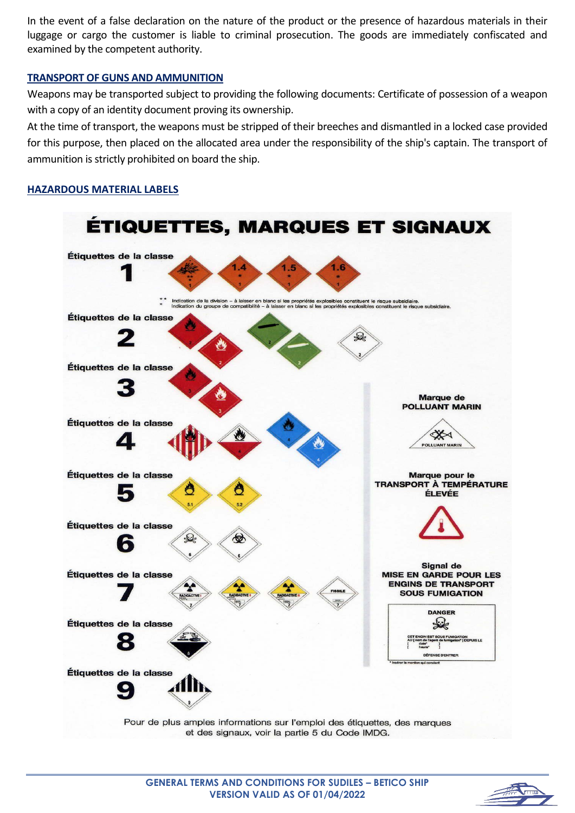In the event of a false declaration on the nature of the product or the presence of hazardous materials in their luggage or cargo the customer is liable to criminal prosecution. The goods are immediately confiscated and examined by the competent authority.

#### **TRANSPORT OF GUNS AND AMMUNITION**

Weapons may be transported subject to providing the following documents: Certificate of possession of a weapon with a copy of an identity document proving its ownership.

At the time of transport, the weapons must be stripped of their breeches and dismantled in a locked case provided for this purpose, then placed on the allocated area under the responsibility of the ship's captain. The transport of ammunition is strictly prohibited on board the ship.

## **HAZARDOUS MATERIAL LABELS**



Pour de plus amples informations sur l'emploi des étiquettes, des marques et des signaux, voir la partie 5 du Code IMDG.

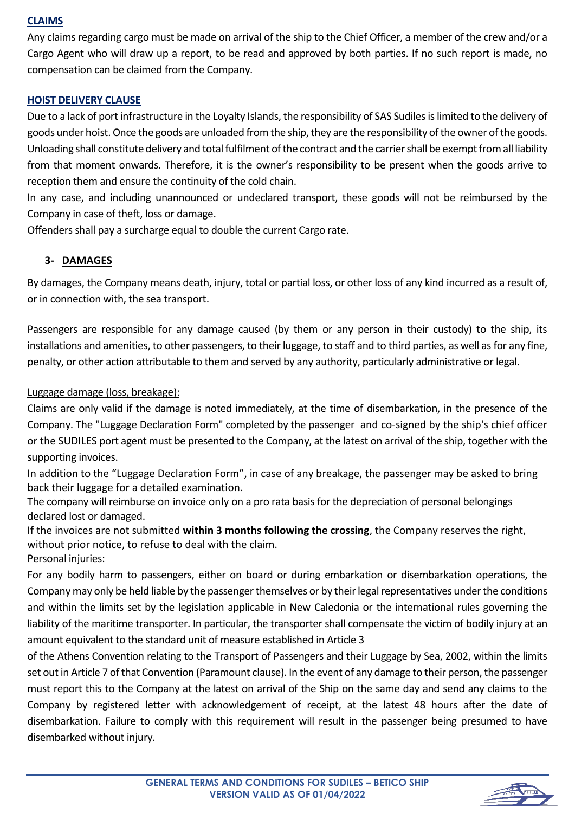## **CLAIMS**

Any claims regarding cargo must be made on arrival of the ship to the Chief Officer, a member of the crew and/or a Cargo Agent who will draw up a report, to be read and approved by both parties. If no such report is made, no compensation can be claimed from the Company.

## **HOIST DELIVERY CLAUSE**

Due to a lack of port infrastructure in the Loyalty Islands, the responsibility of SAS Sudiles is limited to the delivery of goods under hoist. Once the goods are unloaded from the ship, they are the responsibility of the owner of the goods. Unloading shall constitute delivery and total fulfilment of the contract and the carrier shall be exempt from all liability from that moment onwards. Therefore, it is the owner's responsibility to be present when the goods arrive to reception them and ensure the continuity of the cold chain.

In any case, and including unannounced or undeclared transport, these goods will not be reimbursed by the Company in case of theft, loss or damage.

Offenders shall pay a surcharge equal to double the current Cargo rate.

# **3- DAMAGES**

By damages, the Company means death, injury, total or partial loss, or other loss of any kind incurred as a result of, or in connection with, the sea transport.

Passengers are responsible for any damage caused (by them or any person in their custody) to the ship, its installations and amenities, to other passengers, to their luggage, to staff and to third parties, as well as for any fine, penalty, or other action attributable to them and served by any authority, particularly administrative or legal.

# Luggage damage (loss, breakage):

Claims are only valid if the damage is noted immediately, at the time of disembarkation, in the presence of the Company. The "Luggage Declaration Form" completed by the passenger and co-signed by the ship's chief officer or the SUDILES port agent must be presented to the Company, at the latest on arrival of the ship, together with the supporting invoices.

In addition to the "Luggage Declaration Form", in case of any breakage, the passenger may be asked to bring back their luggage for a detailed examination.

The company will reimburse on invoice only on a pro rata basis for the depreciation of personal belongings declared lost or damaged.

If the invoices are not submitted **within 3 months following the crossing**, the Company reserves the right, without prior notice, to refuse to deal with the claim.

Personal injuries:

For any bodily harm to passengers, either on board or during embarkation or disembarkation operations, the Company may only be held liable by the passenger themselves or by their legal representatives under the conditions and within the limits set by the legislation applicable in New Caledonia or the international rules governing the liability of the maritime transporter. In particular, the transporter shall compensate the victim of bodily injury at an amount equivalent to the standard unit of measure established in Article 3

of the Athens Convention relating to the Transport of Passengers and their Luggage by Sea, 2002, within the limits set out in Article 7 of that Convention (Paramount clause). In the event of any damage to their person, the passenger must report this to the Company at the latest on arrival of the Ship on the same day and send any claims to the Company by registered letter with acknowledgement of receipt, at the latest 48 hours after the date of disembarkation. Failure to comply with this requirement will result in the passenger being presumed to have disembarked without injury.

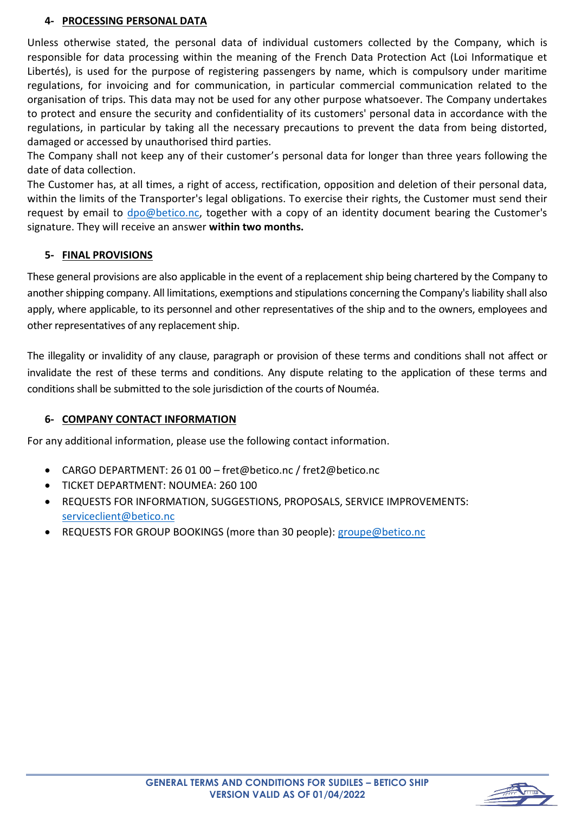# **4- PROCESSING PERSONAL DATA**

Unless otherwise stated, the personal data of individual customers collected by the Company, which is responsible for data processing within the meaning of the French Data Protection Act (Loi Informatique et Libertés), is used for the purpose of registering passengers by name, which is compulsory under maritime regulations, for invoicing and for communication, in particular commercial communication related to the organisation of trips. This data may not be used for any other purpose whatsoever. The Company undertakes to protect and ensure the security and confidentiality of its customers' personal data in accordance with the regulations, in particular by taking all the necessary precautions to prevent the data from being distorted, damaged or accessed by unauthorised third parties.

The Company shall not keep any of their customer's personal data for longer than three years following the date of data collection.

The Customer has, at all times, a right of access, rectification, opposition and deletion of their personal data, within the limits of the Transporter's legal obligations. To exercise their rights, the Customer must send their request by email to [dpo@betico.nc,](mailto:dpo@betico.nc) together with a copy of an identity document bearing the Customer's signature. They will receive an answer **within two months.**

# **5- FINAL PROVISIONS**

These general provisions are also applicable in the event of a replacement ship being chartered by the Company to another shipping company. All limitations, exemptions and stipulations concerning the Company's liability shall also apply, where applicable, to its personnel and other representatives of the ship and to the owners, employees and other representatives of any replacement ship.

The illegality or invalidity of any clause, paragraph or provision of these terms and conditions shall not affect or invalidate the rest of these terms and conditions. Any dispute relating to the application of these terms and conditions shall be submitted to the sole jurisdiction of the courts of Nouméa.

# **6- COMPANY CONTACT INFORMATION**

For any additional information, please use the following contact information.

- CARGO DEPARTMENT: 26 01 00 fret@betico.nc / fret2@betico.nc
- TICKET DEPARTMENT: NOUMEA: 260 100
- REQUESTS FOR INFORMATION, SUGGESTIONS, PROPOSALS, SERVICE IMPROVEMENTS: [serviceclient@betico.nc](mailto:serviceclient@betico.nc)
- REQUESTS FOR GROUP BOOKINGS (more than 30 people): [groupe@betico.nc](mailto:groupe@betico.nc)